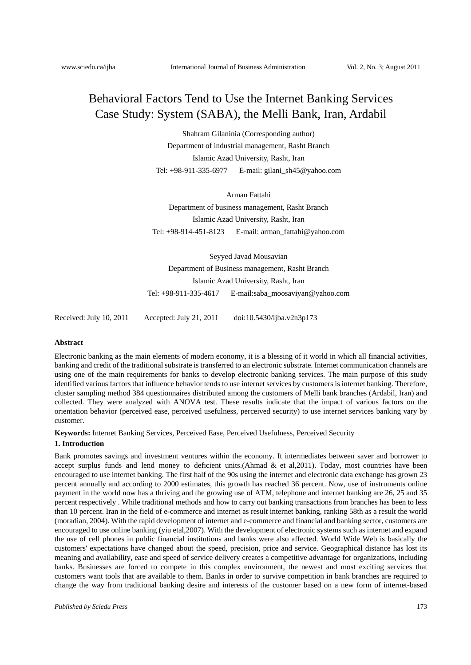# Behavioral Factors Tend to Use the Internet Banking Services Case Study: System (SABA), the Melli Bank, Iran, Ardabil

Shahram Gilaninia (Corresponding author) Department of industrial management, Rasht Branch Islamic Azad University, Rasht, Iran Tel: +98-911-335-6977 E-mail: gilani\_sh45@yahoo.com

Arman Fattahi Department of business management, Rasht Branch Islamic Azad University, Rasht, Iran Tel: +98-914-451-8123 E-mail: arman\_fattahi@yahoo.com

Seyyed Javad Mousavian Department of Business management, Rasht Branch Islamic Azad University, Rasht, Iran Tel: +98-911-335-4617 E-mail:saba\_moosaviyan@yahoo.com

Received: July 10, 2011 Accepted: July 21, 2011 doi:10.5430/ijba.v2n3p173

# **Abstract**

Electronic banking as the main elements of modern economy, it is a blessing of it world in which all financial activities, banking and credit of the traditional substrate is transferred to an electronic substrate. Internet communication channels are using one of the main requirements for banks to develop electronic banking services. The main purpose of this study identified various factors that influence behavior tends to use internet services by customers is internet banking. Therefore, cluster sampling method 384 questionnaires distributed among the customers of Melli bank branches (Ardabil, Iran) and collected. They were analyzed with ANOVA test. These results indicate that the impact of various factors on the orientation behavior (perceived ease, perceived usefulness, perceived security) to use internet services banking vary by customer.

**Keywords:** Internet Banking Services, Perceived Ease, Perceived Usefulness, Perceived Security

# **1. Introduction**

Bank promotes savings and investment ventures within the economy. It intermediates between saver and borrower to accept surplus funds and lend money to deficient units. (Ahmad  $\&$  et al. 2011). Today, most countries have been encouraged to use internet banking. The first half of the 90s using the internet and electronic data exchange has grown 23 percent annually and according to 2000 estimates, this growth has reached 36 percent. Now, use of instruments online payment in the world now has a thriving and the growing use of ATM, telephone and internet banking are 26, 25 and 35 percent respectively . While traditional methods and how to carry out banking transactions from branches has been to less than 10 percent. Iran in the field of e-commerce and internet as result internet banking, ranking 58th as a result the world (moradian, 2004). With the rapid development of internet and e-commerce and financial and banking sector, customers are encouraged to use online banking (yiu etal,2007). With the development of electronic systems such as internet and expand the use of cell phones in public financial institutions and banks were also affected. World Wide Web is basically the customers' expectations have changed about the speed, precision, price and service. Geographical distance has lost its meaning and availability, ease and speed of service delivery creates a competitive advantage for organizations, including banks. Businesses are forced to compete in this complex environment, the newest and most exciting services that customers want tools that are available to them. Banks in order to survive competition in bank branches are required to change the way from traditional banking desire and interests of the customer based on a new form of internet-based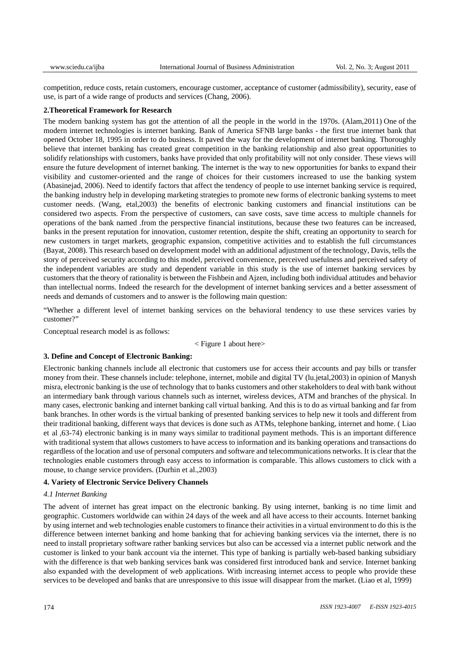competition, reduce costs, retain customers, encourage customer, acceptance of customer (admissibility), security, ease of use, is part of a wide range of products and services (Chang, 2006).

### **2.Theoretical Framework for Research**

The modern banking system has got the attention of all the people in the world in the 1970s. (Alam,2011) One of the modern internet technologies is internet banking. Bank of America SFNB large banks - the first true internet bank that opened October 18, 1995 in order to do business. It paved the way for the development of internet banking. Thoroughly believe that internet banking has created great competition in the banking relationship and also great opportunities to solidify relationships with customers, banks have provided that only profitability will not only consider. These views will ensure the future development of internet banking. The internet is the way to new opportunities for banks to expand their visibility and customer-oriented and the range of choices for their customers increased to use the banking system (Abasinejad, 2006). Need to identify factors that affect the tendency of people to use internet banking service is required, the banking industry help in developing marketing strategies to promote new forms of electronic banking systems to meet customer needs. (Wang, etal,2003) the benefits of electronic banking customers and financial institutions can be considered two aspects. From the perspective of customers, can save costs, save time access to multiple channels for operations of the bank named .from the perspective financial institutions, because these two features can be increased, banks in the present reputation for innovation, customer retention, despite the shift, creating an opportunity to search for new customers in target markets, geographic expansion, competitive activities and to establish the full circumstances (Bayat, 2008). This research based on development model with an additional adjustment of the technology, Davis, tells the story of perceived security according to this model, perceived convenience, perceived usefulness and perceived safety of the independent variables are study and dependent variable in this study is the use of internet banking services by customers that the theory of rationality is between the Fishbein and Ajzen, including both individual attitudes and behavior than intellectual norms. Indeed the research for the development of internet banking services and a better assessment of needs and demands of customers and to answer is the following main question:

"Whether a different level of internet banking services on the behavioral tendency to use these services varies by customer?"

Conceptual research model is as follows:

< Figure 1 about here>

#### **3. Define and Concept of Electronic Banking:**

Electronic banking channels include all electronic that customers use for access their accounts and pay bills or transfer money from their. These channels include: telephone, internet, mobile and digital TV (lu.jetal,2003) in opinion of Manysh misra, electronic banking is the use of technology that to banks customers and other stakeholders to deal with bank without an intermediary bank through various channels such as internet, wireless devices, ATM and branches of the physical. In many cases, electronic banking and internet banking call virtual banking. And this is to do as virtual banking and far from bank branches. In other words is the virtual banking of presented banking services to help new it tools and different from their traditional banking, different ways that devices is done such as ATMs, telephone banking, internet and home. ( Liao et al ,63-74) electronic banking is in many ways similar to traditional payment methods. This is an important difference with traditional system that allows customers to have access to information and its banking operations and transactions do regardless of the location and use of personal computers and software and telecommunications networks. It is clear that the technologies enable customers through easy access to information is comparable. This allows customers to click with a mouse, to change service providers. (Durhin et al., 2003)

# **4. Variety of Electronic Service Delivery Channels**

## *4.1 Internet Banking*

The advent of internet has great impact on the electronic banking. By using internet, banking is no time limit and geographic. Customers worldwide can within 24 days of the week and all have access to their accounts. Internet banking by using internet and web technologies enable customers to finance their activities in a virtual environment to do this is the difference between internet banking and home banking that for achieving banking services via the internet, there is no need to install proprietary software rather banking services but also can be accessed via a internet public network and the customer is linked to your bank account via the internet. This type of banking is partially web-based banking subsidiary with the difference is that web banking services bank was considered first introduced bank and service. Internet banking also expanded with the development of web applications. With increasing internet access to people who provide these services to be developed and banks that are unresponsive to this issue will disappear from the market. (Liao et al, 1999)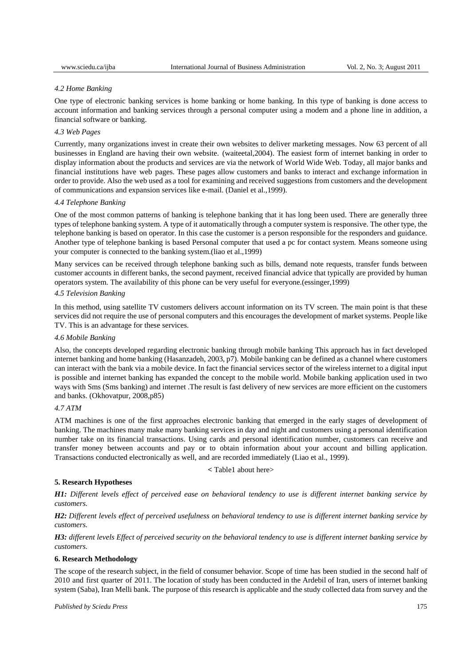## *4.2 Home Banking*

One type of electronic banking services is home banking or home banking. In this type of banking is done access to account information and banking services through a personal computer using a modem and a phone line in addition, a financial software or banking.

# *4.3 Web Pages*

Currently, many organizations invest in create their own websites to deliver marketing messages. Now 63 percent of all businesses in England are having their own website. (waiteetal,2004). The easiest form of internet banking in order to display information about the products and services are via the network of World Wide Web. Today, all major banks and financial institutions have web pages. These pages allow customers and banks to interact and exchange information in order to provide. Also the web used as a tool for examining and received suggestions from customers and the development of communications and expansion services like e-mail. (Daniel et al.,1999).

# *4.4 Telephone Banking*

One of the most common patterns of banking is telephone banking that it has long been used. There are generally three types of telephone banking system. A type of it automatically through a computer system is responsive. The other type, the telephone banking is based on operator. In this case the customer is a person responsible for the responders and guidance. Another type of telephone banking is based Personal computer that used a pc for contact system. Means someone using your computer is connected to the banking system.(liao et al.,1999)

Many services can be received through telephone banking such as bills, demand note requests, transfer funds between customer accounts in different banks, the second payment, received financial advice that typically are provided by human operators system. The availability of this phone can be very useful for everyone.(essinger,1999)

# *4.5 Television Banking*

In this method, using satellite TV customers delivers account information on its TV screen. The main point is that these services did not require the use of personal computers and this encourages the development of market systems. People like TV. This is an advantage for these services.

#### *4.6 Mobile Banking*

Also, the concepts developed regarding electronic banking through mobile banking This approach has in fact developed internet banking and home banking (Hasanzadeh, 2003, p7). Mobile banking can be defined as a channel where customers can interact with the bank via a mobile device. In fact the financial services sector of the wireless internet to a digital input is possible and internet banking has expanded the concept to the mobile world. Mobile banking application used in two ways with Sms (Sms banking) and internet .The result is fast delivery of new services are more efficient on the customers and banks. (Okhovatpur, 2008,p85)

# *4.7 ATM*

ATM machines is one of the first approaches electronic banking that emerged in the early stages of development of banking. The machines many make many banking services in day and night and customers using a personal identification number take on its financial transactions. Using cards and personal identification number, customers can receive and transfer money between accounts and pay or to obtain information about your account and billing application. Transactions conducted electronically as well, and are recorded immediately (Liao et al., 1999).

**<** Table1 about here>

# **5. Research Hypotheses**

*H1: Different levels effect of perceived ease on behavioral tendency to use is different internet banking service by customers.* 

*H2: Different levels effect of perceived usefulness on behavioral tendency to use is different internet banking service by customers.* 

*H3: different levels Effect of perceived security on the behavioral tendency to use is different internet banking service by customers.* 

# **6. Research Methodology**

The scope of the research subject, in the field of consumer behavior. Scope of time has been studied in the second half of 2010 and first quarter of 2011. The location of study has been conducted in the Ardebil of Iran, users of internet banking system (Saba), Iran Melli bank. The purpose of this research is applicable and the study collected data from survey and the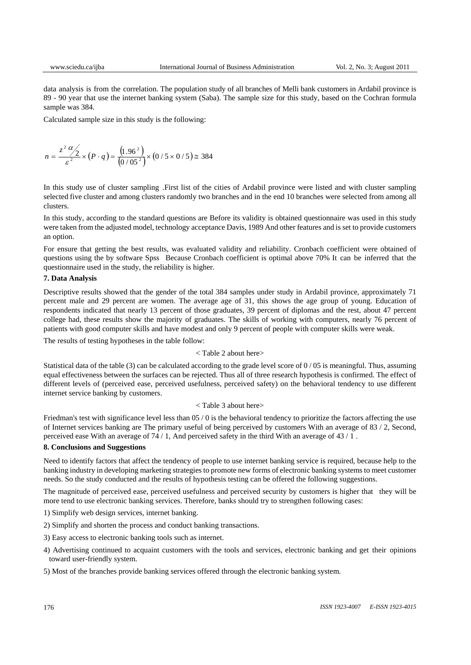data analysis is from the correlation. The population study of all branches of Melli bank customers in Ardabil province is 89 - 90 year that use the internet banking system (Saba). The sample size for this study, based on the Cochran formula sample was 384.

Calculated sample size in this study is the following:

$$
n = \frac{z^2 \alpha/2}{\varepsilon^2} \times (P \cdot q) = \frac{(1.96^2)}{(0/05^2)} \times (0/5 \times 0/5) \approx 384
$$

In this study use of cluster sampling .First list of the cities of Ardabil province were listed and with cluster sampling selected five cluster and among clusters randomly two branches and in the end 10 branches were selected from among all clusters.

In this study, according to the standard questions are Before its validity is obtained questionnaire was used in this study were taken from the adjusted model, technology acceptance Davis, 1989 And other features and is set to provide customers an option.

For ensure that getting the best results, was evaluated validity and reliability. Cronbach coefficient were obtained of questions using the by software Spss Because Cronbach coefficient is optimal above 70% It can be inferred that the questionnaire used in the study, the reliability is higher.

# **7. Data Analysis**

Descriptive results showed that the gender of the total 384 samples under study in Ardabil province, approximately 71 percent male and 29 percent are women. The average age of 31, this shows the age group of young. Education of respondents indicated that nearly 13 percent of those graduates, 39 percent of diplomas and the rest, about 47 percent college had, these results show the majority of graduates. The skills of working with computers, nearly 76 percent of patients with good computer skills and have modest and only 9 percent of people with computer skills were weak.

The results of testing hypotheses in the table follow:

## < Table 2 about here>

Statistical data of the table (3) can be calculated according to the grade level score of  $0/05$  is meaningful. Thus, assuming equal effectiveness between the surfaces can be rejected. Thus all of three research hypothesis is confirmed. The effect of different levels of (perceived ease, perceived usefulness, perceived safety) on the behavioral tendency to use different internet service banking by customers.

# < Table 3 about here>

Friedman's test with significance level less than 05 / 0 is the behavioral tendency to prioritize the factors affecting the use of Internet services banking are The primary useful of being perceived by customers With an average of 83 / 2, Second, perceived ease With an average of 74 / 1, And perceived safety in the third With an average of 43 / 1 .

# **8. Conclusions and Suggestions**

Need to identify factors that affect the tendency of people to use internet banking service is required, because help to the banking industry in developing marketing strategies to promote new forms of electronic banking systems to meet customer needs. So the study conducted and the results of hypothesis testing can be offered the following suggestions.

The magnitude of perceived ease, perceived usefulness and perceived security by customers is higher that they will be more tend to use electronic banking services. Therefore, banks should try to strengthen following cases:

1) Simplify web design services, internet banking.

- 2) Simplify and shorten the process and conduct banking transactions.
- 3) Easy access to electronic banking tools such as internet.
- 4) Advertising continued to acquaint customers with the tools and services, electronic banking and get their opinions toward user-friendly system.
- 5) Most of the branches provide banking services offered through the electronic banking system.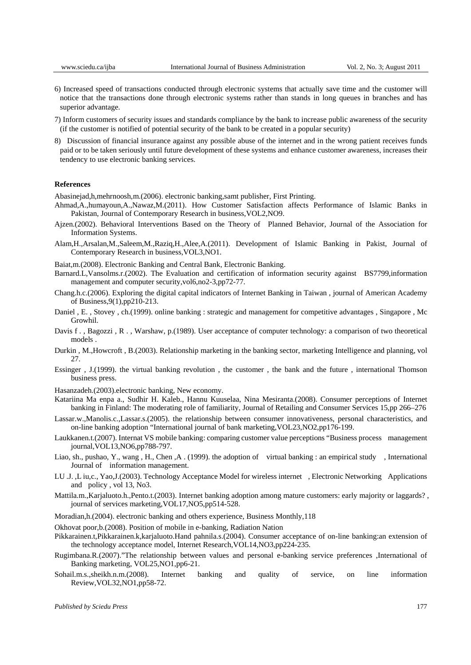- 6) Increased speed of transactions conducted through electronic systems that actually save time and the customer will notice that the transactions done through electronic systems rather than stands in long queues in branches and has superior advantage.
- 7) Inform customers of security issues and standards compliance by the bank to increase public awareness of the security (if the customer is notified of potential security of the bank to be created in a popular security)
- 8) Discussion of financial insurance against any possible abuse of the internet and in the wrong patient receives funds paid or to be taken seriously until future development of these systems and enhance customer awareness, increases their tendency to use electronic banking services.

#### **References**

Abasinejad,h,mehrnoosh,m.(2006). electronic banking,samt publisher, First Printing.

- Ahmad,A.,humayoun,A.,Nawaz,M.(2011). How Customer Satisfaction affects Performance of Islamic Banks in Pakistan, Journal of Contemporary Research in business,VOL2,NO9.
- Ajzen.(2002). Behavioral Interventions Based on the Theory of Planned Behavior, Journal of the Association for Information Systems.
- Alam,H.,Arsalan,M.,Saleem,M.,Raziq,H.,Alee,A.(2011). Development of Islamic Banking in Pakist, Journal of Contemporary Research in business,VOL3,NO1.
- Baiat,m.(2008). Electronic Banking and Central Bank, Electronic Banking.
- Barnard.L,Vansolms.r.(2002). The Evaluation and certification of information security against BS7799,information management and computer security,vol6,no2-3,pp72-77.
- Chang.h.c.(2006). Exploring the digital capital indicators of Internet Banking in Taiwan , journal of American Academy of Business,9(1),pp210-213.
- Daniel , E. , Stovey , ch.(1999). online banking : strategic and management for competitive advantages , Singapore , Mc Growhil.
- Davis f . , Bagozzi , R . , Warshaw, p.(1989). User acceptance of computer technology: a comparison of two theoretical models .
- Durkin , M.,Howcroft , B.(2003). Relationship marketing in the banking sector, marketing Intelligence and planning, vol 27.
- Essinger , J.(1999). the virtual banking revolution , the customer , the bank and the future , international Thomson business press.

Hasanzadeh.(2003).electronic banking, New economy.

- Katariina Ma enpa a., Sudhir H. Kaleb., Hannu Kuuselaa, Nina Mesiranta.(2008). Consumer perceptions of Internet banking in Finland: The moderating role of familiarity, Journal of Retailing and Consumer Services 15,pp 266–276
- Lassar.w.,Manolis.c.,Lassar.s.(2005). the relationship between consumer innovativeness, personal characteristics, and on-line banking adoption "International journal of bank marketing,VOL23,NO2,pp176-199.
- Laukkanen.t.(2007). Internat VS mobile banking: comparing customer value perceptions "Business process management journal,VOL13,NO6,pp788-797.
- Liao, sh., pushao, Y., wang , H., Chen ,A . (1999). the adoption of virtual banking : an empirical study , International Journal of information management.
- LU .J. ,L iu,c., Yao,J.(2003). Technology Acceptance Model for wireless internet , Electronic Networking Applications and policy , vol 13, No3.
- Mattila.m.,Karjaluoto.h.,Pento.t.(2003). Internet banking adoption among mature customers: early majority or laggards? , journal of services marketing,VOL17,NO5,pp514-528.
- Moradian,h.(2004). electronic banking and others experience, Business Monthly,118
- Okhovat poor,b.(2008). Position of mobile in e-banking, Radiation Nation
- Pikkarainen.t,Pikkarainen.k,karjaluoto.Hand pahnila.s.(2004). Consumer acceptance of on-line banking:an extension of the technology acceptance model, Internet Research,VOL14,NO3,pp224-235.
- Rugimbana.R.(2007)."The relationship between values and personal e-banking service preferences ,International of Banking marketing, VOL25,NO1,pp6-21.
- Sohail.m.s.,sheikh.n.m.(2008). Internet banking and quality of service, on line information Review,VOL32,NO1,pp58-72.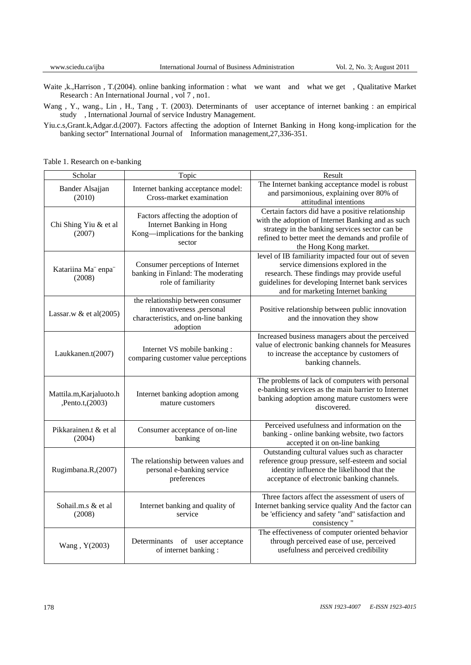Waite ,k.,Harrison , T.(2004). online banking information : what we want and what we get , Qualitative Market Research : An International Journal , vol 7 , no1.

Wang, Y., wang., Lin, H., Tang, T. (2003). Determinants of user acceptance of internet banking : an empirical study , International Journal of service Industry Management.

Yiu.c.s,Grant.k,Adgar.d.(2007). Factors affecting the adoption of Internet Banking in Hong kong-implication for the banking sector" International Journal of Information management, 27, 336-351.

|  | Table 1. Research on e-banking |  |
|--|--------------------------------|--|
|--|--------------------------------|--|

| Scholar                                     | Topic                                                                                                             | Result                                                                                                                                                                                                                                |  |  |  |
|---------------------------------------------|-------------------------------------------------------------------------------------------------------------------|---------------------------------------------------------------------------------------------------------------------------------------------------------------------------------------------------------------------------------------|--|--|--|
| Bander Alsajjan<br>(2010)                   | Internet banking acceptance model:<br>Cross-market examination                                                    | The Internet banking acceptance model is robust<br>and parsimonious, explaining over 80% of<br>attitudinal intentions                                                                                                                 |  |  |  |
| Chi Shing Yiu & et al<br>(2007)             | Factors affecting the adoption of<br>Internet Banking in Hong<br>Kong-implications for the banking<br>sector      | Certain factors did have a positive relationship<br>with the adoption of Internet Banking and as such<br>strategy in the banking services sector can be<br>refined to better meet the demands and profile of<br>the Hong Kong market. |  |  |  |
| Katariina Ma" enpa"<br>(2008)               | Consumer perceptions of Internet<br>banking in Finland: The moderating<br>role of familiarity                     | level of IB familiarity impacted four out of seven<br>service dimensions explored in the<br>research. These findings may provide useful<br>guidelines for developing Internet bank services<br>and for marketing Internet banking     |  |  |  |
| Lassar.w & et al $(2005)$                   | the relationship between consumer<br>innovativeness ,personal<br>characteristics, and on-line banking<br>adoption | Positive relationship between public innovation<br>and the innovation they show                                                                                                                                                       |  |  |  |
| Laukkanen.t(2007)                           | Internet VS mobile banking :<br>comparing customer value perceptions                                              | Increased business managers about the perceived<br>value of electronic banking channels for Measures<br>to increase the acceptance by customers of<br>banking channels.                                                               |  |  |  |
| Mattila.m, Karjaluoto.h<br>,Pento.t, (2003) | Internet banking adoption among<br>mature customers                                                               | The problems of lack of computers with personal<br>e-banking services as the main barrier to Internet<br>banking adoption among mature customers were<br>discovered.                                                                  |  |  |  |
| Pikkarainen.t & et al<br>(2004)             | Consumer acceptance of on-line<br>banking                                                                         | Perceived usefulness and information on the<br>banking - online banking website, two factors<br>accepted it on on-line banking                                                                                                        |  |  |  |
| Rugimbana.R,(2007)                          | The relationship between values and<br>personal e-banking service<br>preferences                                  | Outstanding cultural values such as character<br>reference group pressure, self-esteem and social<br>identity influence the likelihood that the<br>acceptance of electronic banking channels.                                         |  |  |  |
| Sohail.m.s & et al<br>(2008)                | Internet banking and quality of<br>service                                                                        | Three factors affect the assessment of users of<br>Internet banking service quality And the factor can<br>be 'efficiency and safety "and" satisfaction and<br>consistency"                                                            |  |  |  |
| Wang, Y(2003)                               | Determinants of user acceptance<br>of internet banking:                                                           | The effectiveness of computer oriented behavior<br>through perceived ease of use, perceived<br>usefulness and perceived credibility                                                                                                   |  |  |  |